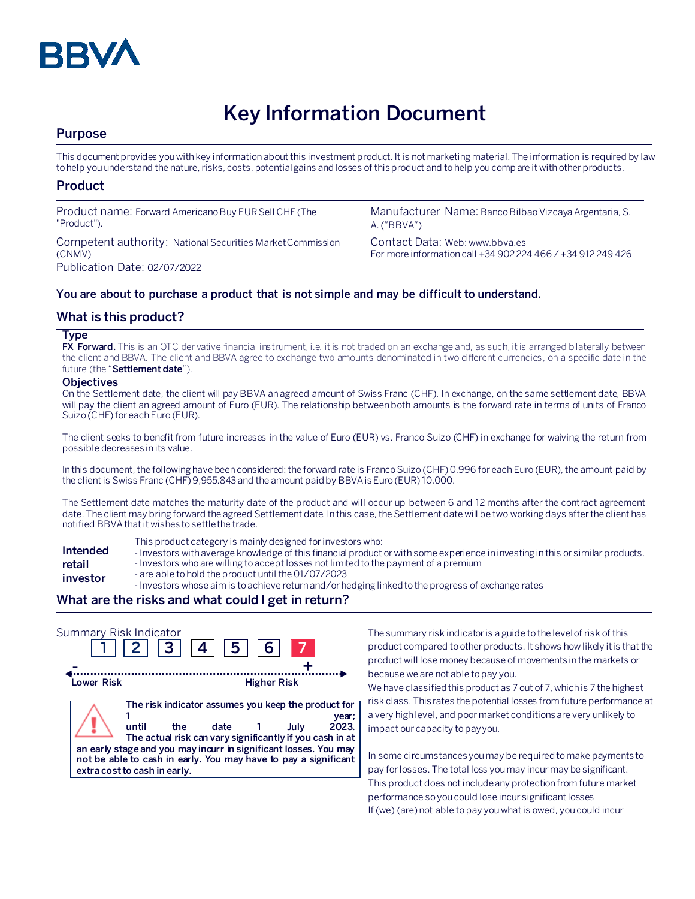

# **Key Information Document**

## **Purpose**

This document provides you with key information about this investment product. It is not marketing material. The information is required by law to help you understand the nature, risks, costs, potential gains and losses of this product and to help you compare it with other products.

# **Product**

Product name: Forward Americano Buy EUR Sell CHF (The "Product").

Competent authority: National Securities Market Commission (CNMV) Publication Date: 02/07/2022

Manufacturer Name: Banco Bilbao Vizcaya Argentaria, S. A. ("BBVA")

Contact Data: Web: www.bbva.es For more information call +34 902 224 466 / +34 912 249 426

## **You are about to purchase a product that is not simple and may be difficult to understand.**

## **What is this product?**

## **Type**

**FX Forward.** This is an OTC derivative financial instrument, i.e. it is not traded on an exchange and, as such, it is arranged bilaterally between the client and BBVA. The client and BBVA agree to exchange two amounts denominated in two different currencies, on a specific date in the future (the "**Settlement date**").

## **Objectives**

On the Settlement date, the client will pay BBVA an agreed amount of Swiss Franc (CHF). In exchange, on the same settlement date, BBVA will pay the client an agreed amount of Euro (EUR). The relationship between both amounts is the forward rate in terms of units of Franco Suizo (CHF)for each Euro (EUR).

The client seeks to benefit from future increases in the value of Euro (EUR) vs. Franco Suizo (CHF) in exchange for waiving the return from possible decreases in its value.

In this document, the following have been considered: the forward rate is Franco Suizo (CHF)0.996 for each Euro (EUR), the amount paid by the client is Swiss Franc (CHF)9,955.843 and the amount paidby BBVA isEuro (EUR) 10,000.

The Settlement date matches the maturity date of the product and will occur up between 6 and 12 months after the contract agreement date. The client may bring forward the agreed Settlement date. In this case, the Settlement date will be two working days after the client has notified BBVA that it wishes to settle the trade.

- **Intended retail**
- This product category is mainly designed for investors who:
- Investors with average knowledge of this financial product or with some experience in investing in this or similar products.
- Investors who are willing to accept losses not limited to the payment of a premium
- **investor** - are able to hold the product until the 01/07/2023
	- Investors whose aim is to achieve return and/or hedging linked to the progress of exchange rates

## **What are the risks and what could I get in return?**



The summary risk indicator is a guide to the level of risk of this product compared to other products. It shows how likely it is that the product will lose money because of movements in the markets or because we are not able to pay you.

We have classified this product as 7 out of 7, which is 7 the highest risk class. This rates the potential losses from future performance at a very high level, and poor market conditions are very unlikely to impact our capacity to pay you.

In some circumstances you may be required to make payments to pay for losses. The total loss you may incur may be significant. This product does not include any protection from future market performance so you could lose incur significant losses If (we) (are) not able to pay you what is owed, you could incur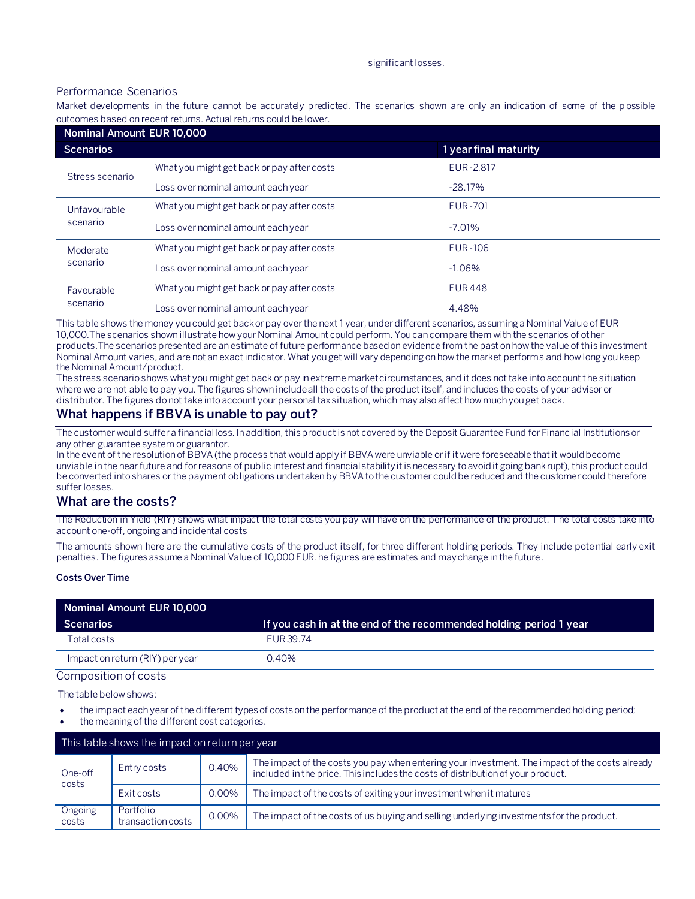#### significant losses.

## Performance Scenarios

Market developments in the future cannot be accurately predicted. The scenarios shown are only an indication of some of the p ossible outcomes based on recent returns. Actual returns could be lower.

| Nominal Amount EUR 10,000 |                                            |                       |  |  |  |
|---------------------------|--------------------------------------------|-----------------------|--|--|--|
| <b>Scenarios</b>          |                                            | 1 year final maturity |  |  |  |
| Stress scenario           | What you might get back or pay after costs | EUR-2,817             |  |  |  |
|                           | Loss over nominal amount each year         | $-28.17%$             |  |  |  |
| Unfavourable<br>scenario  | What you might get back or pay after costs | <b>EUR-701</b>        |  |  |  |
|                           | Loss over nominal amount each year         | $-7.01%$              |  |  |  |
| Moderate<br>scenario      | What you might get back or pay after costs | EUR-106               |  |  |  |
|                           | Loss over nominal amount each year         | $-1.06%$              |  |  |  |
| Favourable<br>scenario    | What you might get back or pay after costs | <b>EUR448</b>         |  |  |  |
|                           | Loss over nominal amount each year         | 4.48%                 |  |  |  |

This table shows the money you could get back or pay over the next 1 year, under different scenarios, assuming a Nominal Value of EUR 10,000.The scenarios shown illustrate how your Nominal Amount could perform. You can compare them with the scenarios of other products.The scenarios presented are an estimate of future performance based on evidence from the past on how the value of this investment Nominal Amount varies, and are not an exact indicator. What you get will vary depending on how the market performs and how long you keep the Nominal Amount/product.

The stress scenario shows what you might get back or pay in extreme market circumstances, and it does not take into account the situation where we are not able to pay you. The figures shown include all the costs of the product itself, and includes the costs of your advisor or distributor. The figures do not take into account your personal tax situation, which may also affect how much you get back.

# **What happens if BBVA is unable to pay out?**

The customer would suffer a financial loss. In addition, this product is not covered by the Deposit Guarantee Fund for Financial Institutions or any other guarantee system or guarantor.

In the event of the resolution of BBVA (the process that would apply if BBVA were unviable or if it were foreseeable that it would become unviable in the near future and for reasons of public interest and financial stability it is necessary to avoid it going bankrupt), this product could be converted into shares or the payment obligations undertaken by BBVA to the customer could be reduced and the customer could therefore suffer losses.

## **What are the costs?**

The Reduction in Yield (RIY) shows what impact the total costs you pay will have on the performance of the product. The total costs take into account one-off, ongoing and incidental costs

The amounts shown here are the cumulative costs of the product itself, for three different holding periods. They include potential early exit penalties. The figures assume a Nominal Value of 10,000 EUR. he figures are estimates and may change in the future.

#### **Costs Over Time**

| Nominal Amount EUR 10,000       |                                                                    |  |  |  |
|---------------------------------|--------------------------------------------------------------------|--|--|--|
| Scenarios                       | If you cash in at the end of the recommended holding period 1 year |  |  |  |
| Total costs                     | EUR 39.74                                                          |  |  |  |
| Impact on return (RIY) per year | 0.40%                                                              |  |  |  |
| Composition of costs            |                                                                    |  |  |  |

The table below shows:

- the impact each year of the different types of costs on the performance of the product at the end of the recommended holding period;
- the meaning of the different cost categories.

| This table shows the impact on return per year |                                |          |                                                                                                                                                                                   |  |  |
|------------------------------------------------|--------------------------------|----------|-----------------------------------------------------------------------------------------------------------------------------------------------------------------------------------|--|--|
| One-off<br>costs                               | Entry costs                    | 0.40%    | The impact of the costs you pay when entering your investment. The impact of the costs already<br>included in the price. This includes the costs of distribution of your product. |  |  |
|                                                | Exit costs                     | 0.00%    | The impact of the costs of exiting your investment when it matures                                                                                                                |  |  |
| Ongoing<br>costs                               | Portfolio<br>transaction costs | $0.00\%$ | The impact of the costs of us buying and selling underlying investments for the product.                                                                                          |  |  |